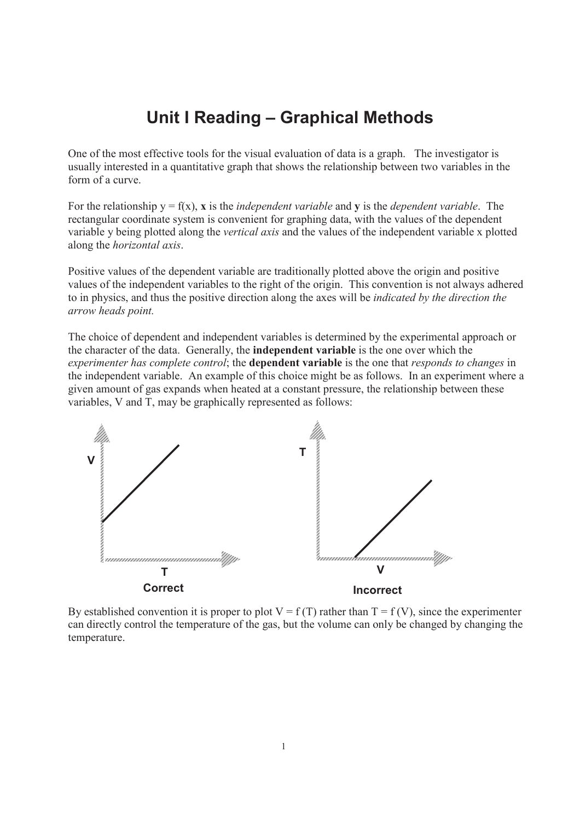## **Unit I Reading – Graphical Methods**

One of the most effective tools for the visual evaluation of data is a graph. The investigator is usually interested in a quantitative graph that shows the relationship between two variables in the form of a curve.

For the relationship  $y = f(x)$ , **x** is the *independent variable* and **y** is the *dependent variable*. The rectangular coordinate system is convenient for graphing data, with the values of the dependent variable y being plotted along the *vertical axis* and the values of the independent variable x plotted along the *horizontal axis*.

Positive values of the dependent variable are traditionally plotted above the origin and positive values of the independent variables to the right of the origin. This convention is not always adhered to in physics, and thus the positive direction along the axes will be *indicated by the direction the arrow heads point.*

The choice of dependent and independent variables is determined by the experimental approach or the character of the data. Generally, the **independent variable** is the one over which the *experimenter has complete control*; the **dependent variable** is the one that *responds to changes* in the independent variable. An example of this choice might be as follows. In an experiment where a given amount of gas expands when heated at a constant pressure, the relationship between these variables, V and T, may be graphically represented as follows:



By established convention it is proper to plot  $V = f(T)$  rather than  $T = f(V)$ , since the experimenter can directly control the temperature of the gas, but the volume can only be changed by changing the temperature.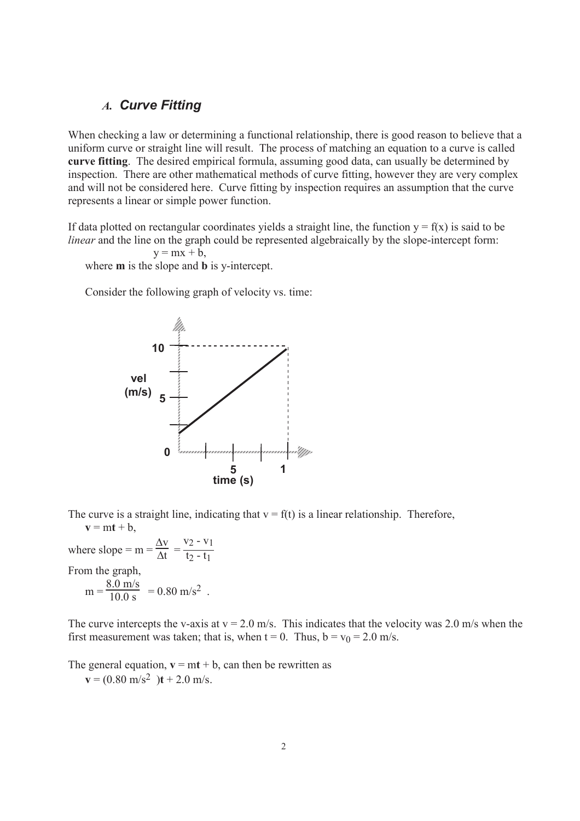## *A. Curve Fitting*

When checking a law or determining a functional relationship, there is good reason to believe that a uniform curve or straight line will result. The process of matching an equation to a curve is called **curve fitting**. The desired empirical formula, assuming good data, can usually be determined by inspection. There are other mathematical methods of curve fitting, however they are very complex and will not be considered here. Curve fitting by inspection requires an assumption that the curve represents a linear or simple power function.

If data plotted on rectangular coordinates yields a straight line, the function  $y = f(x)$  is said to be *linear* and the line on the graph could be represented algebraically by the slope-intercept form:

$$
y = mx + b,
$$

where **m** is the slope and **b** is y-intercept.

Consider the following graph of velocity vs. time:



The curve is a straight line, indicating that  $v = f(t)$  is a linear relationship. Therefore,  $v = mt + b$ ,

where slope =  $m = \frac{\Delta v}{\Delta t}$  =  $v_2 - v_1$  $t_2 - t_1$ From the graph,  $m =$  $\frac{8.0 \text{ m/s}}{10.0 \text{ s}}$  = 0.80 m/s<sup>2</sup>.

The curve intercepts the v-axis at  $v = 2.0$  m/s. This indicates that the velocity was 2.0 m/s when the first measurement was taken; that is, when  $t = 0$ . Thus,  $b = v_0 = 2.0$  m/s.

The general equation,  $\mathbf{v} = \mathbf{m} \mathbf{t} + \mathbf{b}$ , can then be rewritten as

 $\mathbf{v} = (0.80 \text{ m/s}^2) \mathbf{t} + 2.0 \text{ m/s}.$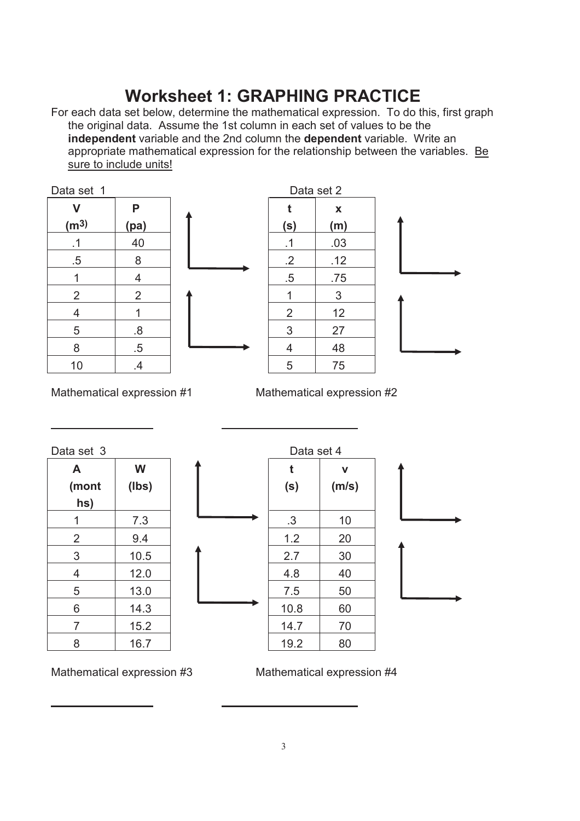## **Worksheet 1: GRAPHING PRACTICE**

For each data set below, determine the mathematical expression. To do this, first graph the original data. Assume the 1st column in each set of values to be the **independent** variable and the 2nd column the **dependent** variable. Write an appropriate mathematical expression for the relationship between the variables. Be sure to include units!







Mathematical expression #1 Mathematical expression #2

Data set 4

| Data set 3     |       |
|----------------|-------|
| A              | W     |
| (mont          | (lbs) |
| hs)            |       |
| 1              | 7.3   |
| $\overline{2}$ | 9.4   |
| 3              | 10.5  |
| 4              | 12.0  |
| 5              | 13.0  |
| 6              | 14.3  |
| 7              | 15.2  |
| 8              | 16.7  |

**t (s) v (m/s)** 1 | 7.3 |  $\longrightarrow$  | .3 | 10 2 9.4 1.2 20 3 | 10.5 | **T** | 2.7 | 30 4 | 12.0 | | | | | 4.8 | 40 5 13.0 7.5 50 6 | 14.3 | 10.8 | 60 7 15.2 14.7 70 8 | 16.7 | 19.2 | 80

Mathematical expression #3 Mathematical expression #4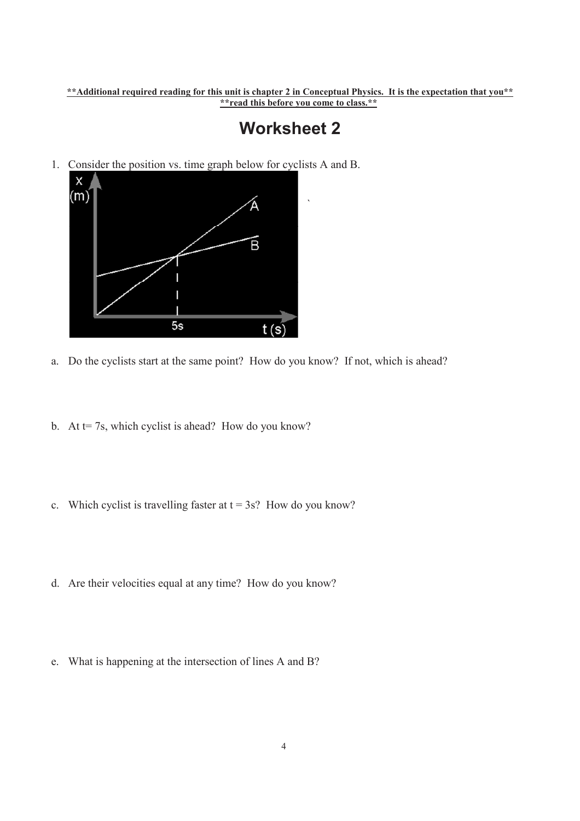**\*\*Additional required reading for this unit is chapter 2 in Conceptual Physics. It is the expectation that you\*\* \*\*read this before you come to class.\*\***

## **Worksheet 2**

`

1. Consider the position vs. time graph below for cyclists A and B.



- a. Do the cyclists start at the same point? How do you know? If not, which is ahead?
- b. At  $t= 7s$ , which cyclist is ahead? How do you know?
- c. Which cyclist is travelling faster at  $t = 3s$ ? How do you know?
- d. Are their velocities equal at any time? How do you know?
- e. What is happening at the intersection of lines A and B?